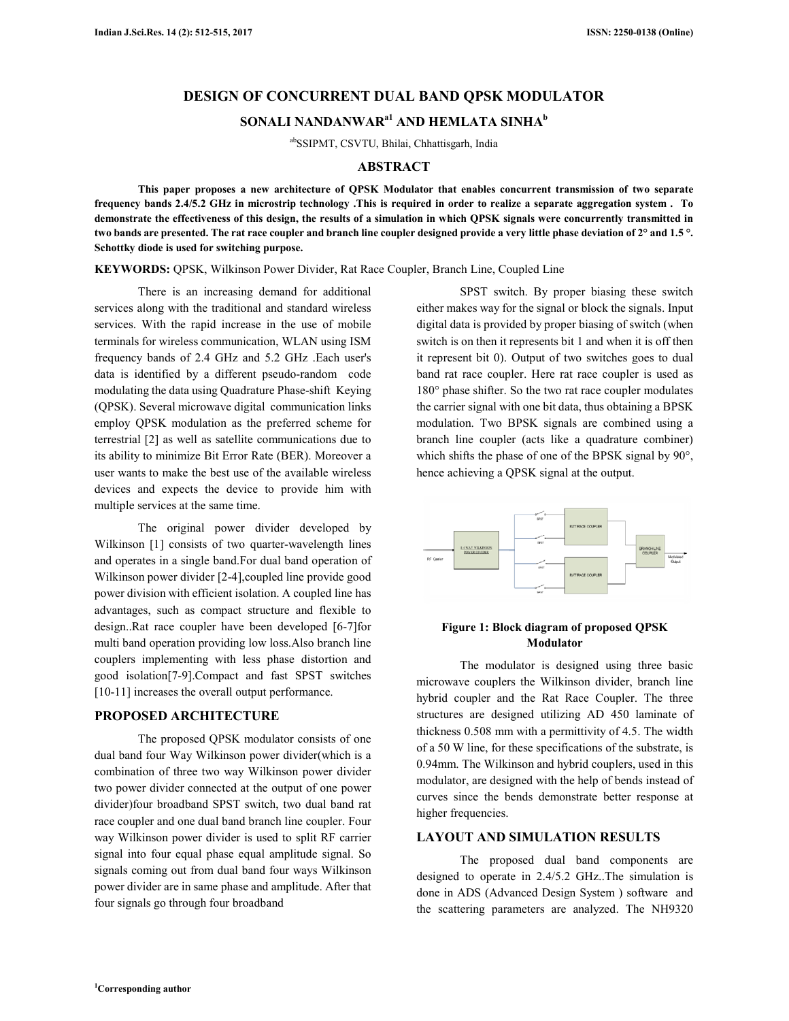# **DESIGN OF CONCURRENT DUAL BAND QPSK MODULATOR**

**SONALI NANDANWARa1 AND HEMLATA SINHA<sup>b</sup>**

abSSIPMT, CSVTU, Bhilai, Chhattisgarh, India

#### **ABSTRACT**

**This paper proposes a new architecture of QPSK Modulator that enables concurrent transmission of two separate frequency bands 2.4/5.2 GHz in microstrip technology .This is required in order to realize a separate aggregation system . To demonstrate the effectiveness of this design, the results of a simulation in which QPSK signals were concurrently transmitted in two bands are presented. The rat race coupler and branch line coupler designed provide a very little phase deviation of 2° and 1.5 °. Schottky diode is used for switching purpose.** 

**KEYWORDS:** QPSK, Wilkinson Power Divider, Rat Race Coupler, Branch Line, Coupled Line

There is an increasing demand for additional services along with the traditional and standard wireless services. With the rapid increase in the use of mobile terminals for wireless communication, WLAN using ISM frequency bands of 2.4 GHz and 5.2 GHz .Each user's data is identified by a different pseudo-random code modulating the data using Quadrature Phase-shift Keying (QPSK). Several microwave digital communication links employ QPSK modulation as the preferred scheme for terrestrial [2] as well as satellite communications due to its ability to minimize Bit Error Rate (BER). Moreover a user wants to make the best use of the available wireless devices and expects the device to provide him with multiple services at the same time.

The original power divider developed by Wilkinson [1] consists of two quarter-wavelength lines and operates in a single band.For dual band operation of Wilkinson power divider [2-4],coupled line provide good power division with efficient isolation. A coupled line has advantages, such as compact structure and flexible to design..Rat race coupler have been developed [6-7]for multi band operation providing low loss.Also branch line couplers implementing with less phase distortion and good isolation[7-9].Compact and fast SPST switches [10-11] increases the overall output performance.

### **PROPOSED ARCHITECTURE**

The proposed QPSK modulator consists of one dual band four Way Wilkinson power divider(which is a combination of three two way Wilkinson power divider two power divider connected at the output of one power divider)four broadband SPST switch, two dual band rat race coupler and one dual band branch line coupler. Four way Wilkinson power divider is used to split RF carrier signal into four equal phase equal amplitude signal. So signals coming out from dual band four ways Wilkinson power divider are in same phase and amplitude. After that four signals go through four broadband

SPST switch. By proper biasing these switch either makes way for the signal or block the signals. Input digital data is provided by proper biasing of switch (when switch is on then it represents bit 1 and when it is off then it represent bit 0). Output of two switches goes to dual band rat race coupler. Here rat race coupler is used as 180° phase shifter. So the two rat race coupler modulates the carrier signal with one bit data, thus obtaining a BPSK modulation. Two BPSK signals are combined using a branch line coupler (acts like a quadrature combiner) which shifts the phase of one of the BPSK signal by 90°, hence achieving a QPSK signal at the output.



### **Figure 1: Block diagram of proposed QPSK Modulator**

The modulator is designed using three basic microwave couplers the Wilkinson divider, branch line hybrid coupler and the Rat Race Coupler. The three structures are designed utilizing AD 450 laminate of thickness 0.508 mm with a permittivity of 4.5. The width of a 50 W line, for these specifications of the substrate, is 0.94mm. The Wilkinson and hybrid couplers, used in this modulator, are designed with the help of bends instead of curves since the bends demonstrate better response at higher frequencies.

### **LAYOUT AND SIMULATION RESULTS**

The proposed dual band components are designed to operate in 2.4/5.2 GHz..The simulation is done in ADS (Advanced Design System ) software and the scattering parameters are analyzed. The NH9320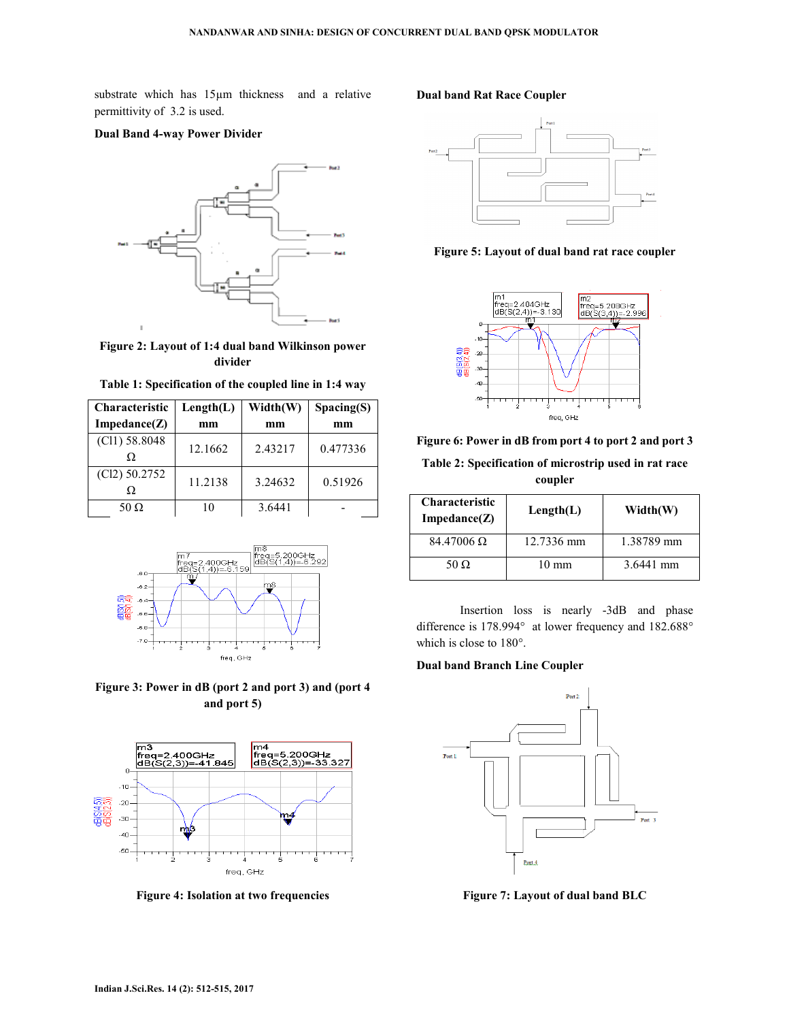substrate which has 15µm thickness and a relative permittivity of 3.2 is used.

## **Dual Band 4-way Power Divider**



# **Figure 2: Layout of 1:4 dual band Wilkinson power divider**

| <b>Characteristic</b> | Length(L) | Width(W) | Spacing(S) |
|-----------------------|-----------|----------|------------|
| Impedance(Z)          | mm        | mm       | mm         |
| (C11) 58.8048         | 12.1662   | 2.43217  | 0.477336   |
|                       |           |          |            |
| (C12) 50.2752         | 11.2138   | 3.24632  | 0.51926    |
| Ω                     |           |          |            |
| 50 Ω                  | 10        | 3.6441   |            |









**Figure 4: Isolation at two frequencies** 

#### **Dual band Rat Race Coupler**



#### **Figure 5: Layout of dual band rat race coupler**



**Figure 6: Power in dB from port 4 to port 2 and port 3** 

**Table 2: Specification of microstrip used in rat race coupler** 

| <b>Characteristic</b><br>Impedance(Z) | Length(L)       | Width(W)   |
|---------------------------------------|-----------------|------------|
| 84.47006 Ω                            | 12.7336 mm      | 1.38789 mm |
| 50 $\Omega$                           | $10 \text{ mm}$ | 3.6441 mm  |

Insertion loss is nearly -3dB and phase difference is 178.994° at lower frequency and 182.688° which is close to 180°.

#### **Dual band Branch Line Coupler**



**Figure 7: Layout of dual band BLC**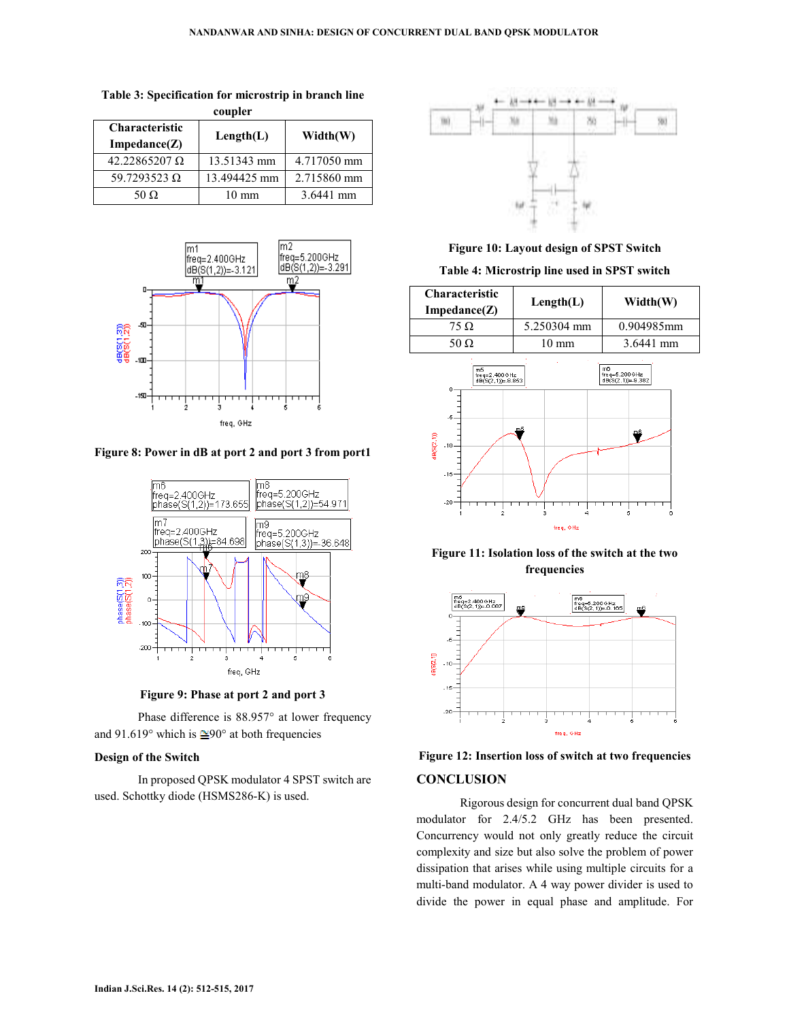| coupler                               |                 |             |  |  |
|---------------------------------------|-----------------|-------------|--|--|
| <b>Characteristic</b><br>Impedance(Z) | Length(L)       | Width(W)    |  |  |
| $42.22865207 \Omega$                  | 13.51343 mm     | 4.717050 mm |  |  |
| 59.7293523 $\Omega$                   | 13.494425 mm    | 2.715860 mm |  |  |
| 50 $\Omega$                           | $10 \text{ mm}$ | 3.6441 mm   |  |  |

**Table 3: Specification for microstrip in branch line** 



#### **Figure 8: Power in dB at port 2 and port 3 from port1**



**Figure 9: Phase at port 2 and port 3** 

Phase difference is 88.957° at lower frequency and 91.619° which is  $\cong$ 90° at both frequencies

#### **Design of the Switch**

In proposed QPSK modulator 4 SPST switch are used. Schottky diode (HSMS286-K) is used.



**Figure 10: Layout design of SPST Switch** 

**Table 4: Microstrip line used in SPST switch** 



**Figure 11: Isolation loss of the switch at the two frequencies** 





Rigorous design for concurrent dual band QPSK modulator for 2.4/5.2 GHz has been presented. Concurrency would not only greatly reduce the circuit complexity and size but also solve the problem of power dissipation that arises while using multiple circuits for a multi-band modulator. A 4 way power divider is used to divide the power in equal phase and amplitude. For